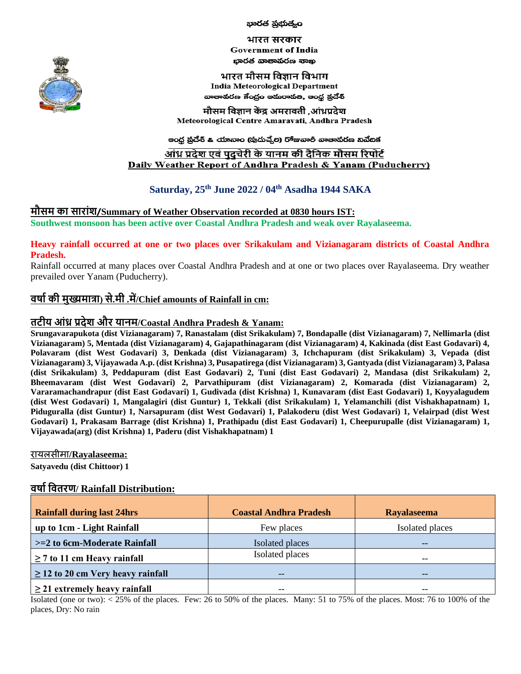భారత ప్రభుత్వం

भारत सरकार Government of India ಭಾರತ ವಾಶಾವರಣ ಕಾಖ

भारत मौसम विज्ञान विभाग **India Meteorological Department** వాతావరణ కేంద్రం అమరావతి, ఆంధ్ర ప్రదేశ్

मौसम विज्ञान केंद्र अमरावती ,आंध्रप्रदेश Meteorological Centre Amaravati, Andhra Pradesh

అంధ్ర ప్రదేశ్ & యానాం (వుదుచ్ఘేల) రిాీజువాలి వాతావరణ ఐవేబక

आंध्र प्रदेश एवं पुदुचेरी के यानम की दैनिक मौसम रिपोर्ट Daily Weather Report of Andhra Pradesh & Yanam (Puducherry)

#### **Saturday, 25 th June 2022 / 04 th Asadha 1944 SAKA**

**मौसम का साराांश/Summary of Weather Observation recorded at 0830 hours IST: Southwest monsoon has been active over Coastal Andhra Pradesh and weak over Rayalaseema.**

#### **Heavy rainfall occurred at one or two places over Srikakulam and Vizianagaram districts of Coastal Andhra Pradesh.**

Rainfall occurred at many places over Coastal Andhra Pradesh and at one or two places over Rayalaseema. Dry weather prevailed over Yanam (Puducherry).

## **वर्ााकी मुख्यमात्रा( से.मी .में/Chief amounts of Rainfall in cm:**

## **तटीय आांध्र प्रदेश और यानम/Coastal Andhra Pradesh & Yanam:**

**Srungavarapukota (dist Vizianagaram) 7, Ranastalam (dist Srikakulam) 7, Bondapalle (dist Vizianagaram) 7, Nellimarla (dist Vizianagaram) 5, Mentada (dist Vizianagaram) 4, Gajapathinagaram (dist Vizianagaram) 4, Kakinada (dist East Godavari) 4, Polavaram (dist West Godavari) 3, Denkada (dist Vizianagaram) 3, Ichchapuram (dist Srikakulam) 3, Vepada (dist Vizianagaram) 3, Vijayawada A.p. (dist Krishna) 3, Pusapatirega (dist Vizianagaram) 3, Gantyada (dist Vizianagaram) 3, Palasa (dist Srikakulam) 3, Peddapuram (dist East Godavari) 2, Tuni (dist East Godavari) 2, Mandasa (dist Srikakulam) 2, Bheemavaram (dist West Godavari) 2, Parvathipuram (dist Vizianagaram) 2, Komarada (dist Vizianagaram) 2, Vararamachandrapur (dist East Godavari) 1, Gudivada (dist Krishna) 1, Kunavaram (dist East Godavari) 1, Koyyalagudem (dist West Godavari) 1, Mangalagiri (dist Guntur) 1, Tekkali (dist Srikakulam) 1, Yelamanchili (dist Vishakhapatnam) 1, Piduguralla (dist Guntur) 1, Narsapuram (dist West Godavari) 1, Palakoderu (dist West Godavari) 1, Velairpad (dist West Godavari) 1, Prakasam Barrage (dist Krishna) 1, Prathipadu (dist East Godavari) 1, Cheepurupalle (dist Vizianagaram) 1, Vijayawada(arg) (dist Krishna) 1, Paderu (dist Vishakhapatnam) 1**

#### रायलसीमा**/Rayalaseema:**

**Satyavedu (dist Chittoor) 1**

#### **वर्ााववतरण/ Rainfall Distribution:**

| <b>Rainfall during last 24hrs</b>      | <b>Coastal Andhra Pradesh</b> | <b>Rayalaseema</b> |
|----------------------------------------|-------------------------------|--------------------|
| up to 1cm - Light Rainfall             | Few places                    | Isolated places    |
| >=2 to 6cm-Moderate Rainfall           | Isolated places               | $- -$              |
| $\geq$ 7 to 11 cm Heavy rainfall       | Isolated places               | --                 |
| $\geq$ 12 to 20 cm Very heavy rainfall | $- -$                         | $- -$              |
| $\geq$ 21 extremely heavy rainfall     | --                            | $- -$              |

Isolated (one or two):  $\lt 25\%$  of the places. Few: 26 to 50% of the places. Many: 51 to 75% of the places. Most: 76 to 100% of the places, Dry: No rain

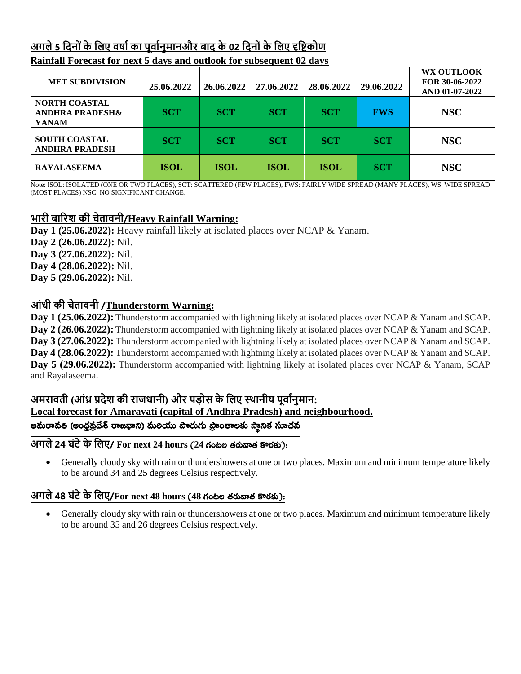# **अगले5 वदन ांके वलए वर्ााका पूवाानुमानऔर बाद के 02 वदन ांके वलए दृविक ण**

| <b>MET SUBDIVISION</b>                                             | 25.06.2022  | 26.06.2022  | 27.06.2022  | 28.06.2022  | 29.06.2022 | <b>WX OUTLOOK</b><br>FOR 30-06-2022<br>AND 01-07-2022 |
|--------------------------------------------------------------------|-------------|-------------|-------------|-------------|------------|-------------------------------------------------------|
| <b>NORTH COASTAL</b><br><b>ANDHRA PRADESH&amp;</b><br><b>YANAM</b> | <b>SCT</b>  | <b>SCT</b>  | <b>SCT</b>  | <b>SCT</b>  | <b>FWS</b> | <b>NSC</b>                                            |
| <b>SOUTH COASTAL</b><br><b>ANDHRA PRADESH</b>                      | <b>SCT</b>  | <b>SCT</b>  | <b>SCT</b>  | <b>SCT</b>  | <b>SCT</b> | <b>NSC</b>                                            |
| <b>RAYALASEEMA</b>                                                 | <b>ISOL</b> | <b>ISOL</b> | <b>ISOL</b> | <b>ISOL</b> | <b>SCT</b> | <b>NSC</b>                                            |

Note: ISOL: ISOLATED (ONE OR TWO PLACES), SCT: SCATTERED (FEW PLACES), FWS: FAIRLY WIDE SPREAD (MANY PLACES), WS: WIDE SPREAD (MOST PLACES) NSC: NO SIGNIFICANT CHANGE.

## **भारी बाररश की चेतावनी/Heavy Rainfall Warning:**

**Day 1 (25.06.2022):** Heavy rainfall likely at isolated places over NCAP & Yanam.

**Day 2 (26.06.2022):** Nil. **Day 3 (27.06.2022):** Nil.

**Day 4 (28.06.2022):** Nil.

**Day 5 (29.06.2022):** Nil.

## **आांधी की चेतावनी /Thunderstorm Warning:**

**Day 1 (25.06.2022):** Thunderstorm accompanied with lightning likely at isolated places over NCAP & Yanam and SCAP. **Day 2 (26.06.2022):** Thunderstorm accompanied with lightning likely at isolated places over NCAP & Yanam and SCAP. **Day 3 (27.06.2022):** Thunderstorm accompanied with lightning likely at isolated places over NCAP & Yanam and SCAP. **Day 4 (28.06.2022):** Thunderstorm accompanied with lightning likely at isolated places over NCAP & Yanam and SCAP. **Day 5 (29.06.2022):** Thunderstorm accompanied with lightning likely at isolated places over NCAP & Yanam, SCAP and Rayalaseema.

## अमरावती (आंध्र प्रदेश की राजधानी) और पडोस के लिए स्थानीय पर्वानमान:

**Local forecast for Amaravati (capital of Andhra Pradesh) and neighbourhood.** అమరావతి (ఆంధ్రప్రదేశ్ రాజధాని) మరియు పొరుగు ప్రంతాలకు స్థానిక సూచన

#### **अगले24 घांटेके वलए/ For next 24 hours** (**24** గంటల తరువాత కొరకు):

• Generally cloudy sky with rain or thundershowers at one or two places. Maximum and minimum temperature likely to be around 34 and 25 degrees Celsius respectively.

## **अगले 48 घांटे के वलए/For next 48 hours** (**48** గంటల తరువాత కొరకు):

• Generally cloudy sky with rain or thundershowers at one or two places. Maximum and minimum temperature likely to be around 35 and 26 degrees Celsius respectively.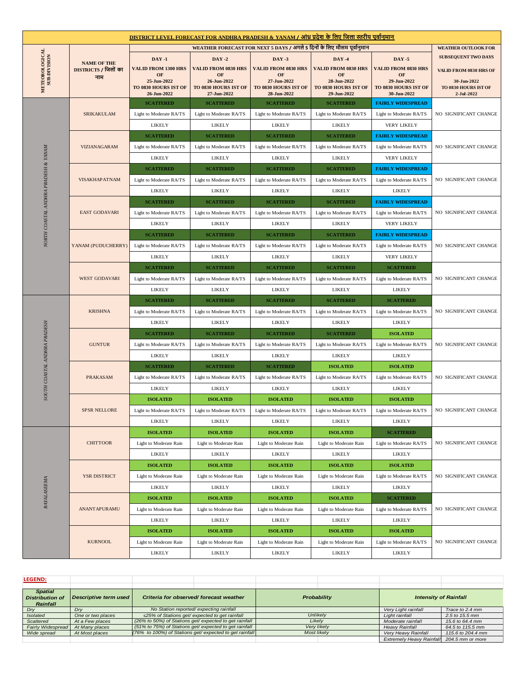|                                              |                                            |                                     |                                     |                                                                         | DISTRICT LEVEL FORECAST FOR ANDHRA PRADESH & YANAM / आंध्र प्रदेश के लिए जिला स्तरीय पूर्वानुमान |                                     |                                    |
|----------------------------------------------|--------------------------------------------|-------------------------------------|-------------------------------------|-------------------------------------------------------------------------|--------------------------------------------------------------------------------------------------|-------------------------------------|------------------------------------|
|                                              |                                            |                                     |                                     | WEATHER FORECAST FOR NEXT 5 DAYS / अगले 5 दिनों के लिए मौसम पूर्वानुमान |                                                                                                  |                                     | <b>WEATHER OUTLOOK FOR</b>         |
|                                              |                                            | $DAY-1$                             | $DAY - 2$                           | $DAY-3$                                                                 | $DAY -4$                                                                                         | $DAY-5$                             | <b>SUBSEQUENT TWO DAYS</b>         |
| <b>METEOROLOGICAL</b><br><b>SUB-DIVISION</b> | <b>NAME OF THE</b><br>DISTRICTS / जिलों का | <b>VALID FROM 1300 HRS</b>          | <b>VALID FROM 0830 HRS</b>          | <b>VALID FROM 0830 HRS</b>                                              | <b>VALID FROM 0830 HRS</b>                                                                       | <b>VALID FROM 0830 HRS</b>          | VALID FROM 0830 HRS OF             |
|                                              | नाम                                        | OF<br>25-Jun-2022                   | OF<br>26-Jun-2022                   | OF<br>27-Jun-2022                                                       | OF<br>28-Jun-2022                                                                                | OF<br>29-Jun-2022                   | 30-Jun-2022                        |
|                                              |                                            | TO 0830 HOURS IST OF<br>26-Jun-2022 | TO 0830 HOURS IST OF<br>27-Jun-2022 | TO 0830 HOURS IST OF<br>28-Jun-2022                                     | TO 0830 HOURS IST OF<br>29-Jun-2022                                                              | TO 0830 HOURS IST OF<br>30-Jun-2022 | TO 0830 HOURS IST OF<br>2-Jul-2022 |
|                                              |                                            | <b>SCATTERED</b>                    | <b>SCATTERED</b>                    | <b>SCATTERED</b>                                                        | <b>SCATTERED</b>                                                                                 | <b>FAIRLY WIDESPREAD</b>            |                                    |
|                                              | <b>SRIKAKULAM</b>                          | Light to Moderate RA/TS             | Light to Moderate RA/TS             | Light to Moderate RA/TS                                                 | Light to Moderate RA/TS                                                                          | Light to Moderate RA/TS             | NO SIGNIFICANT CHANGE              |
|                                              |                                            | LIKELY                              | LIKELY                              | LIKELY                                                                  | LIKELY                                                                                           | VERY LIKELY                         |                                    |
|                                              |                                            | <b>SCATTERED</b>                    | <b>SCATTERED</b>                    | <b>SCATTERED</b>                                                        | <b>SCATTERED</b>                                                                                 | <b>FAIRLY WIDESPREAD</b>            |                                    |
|                                              | VIZIANAGARAM                               | Light to Moderate RA/TS             | Light to Moderate RA/TS             | Light to Moderate RA/TS                                                 | Light to Moderate RA/TS                                                                          | Light to Moderate RA/TS             | NO SIGNIFICANT CHANGE              |
|                                              |                                            | LIKELY                              | LIKELY                              | LIKELY                                                                  | LIKELY                                                                                           | VERY LIKELY                         |                                    |
|                                              |                                            | <b>SCATTERED</b>                    | <b>SCATTERED</b>                    | <b>SCATTERED</b>                                                        | <b>SCATTERED</b>                                                                                 | <b>FAIRLY WIDESPREAD</b>            |                                    |
|                                              | <b>VISAKHAPATNAM</b>                       | Light to Moderate RA/TS             | Light to Moderate RA/TS             | Light to Moderate RA/TS                                                 | Light to Moderate RA/TS                                                                          | Light to Moderate RA/TS             | NO SIGNIFICANT CHANGE              |
|                                              |                                            | LIKELY                              | LIKELY                              | LIKELY                                                                  | LIKELY                                                                                           | LIKELY                              |                                    |
|                                              |                                            | <b>SCATTERED</b>                    | <b>SCATTERED</b>                    | <b>SCATTERED</b>                                                        | <b>SCATTERED</b>                                                                                 | <b>FAIRLY WIDESPREAD</b>            |                                    |
|                                              | <b>EAST GODAVARI</b>                       | Light to Moderate RA/TS             | Light to Moderate RA/TS             | Light to Moderate RA/TS                                                 | Light to Moderate RA/TS                                                                          | Light to Moderate RA/TS             | NO SIGNIFICANT CHANGE              |
|                                              |                                            | LIKELY                              | LIKELY                              | LIKELY                                                                  | LIKELY                                                                                           | <b>VERY LIKELY</b>                  |                                    |
| NORTH COASTAL ANDHRA PRADESH & YANAM         | YANAM (PUDUCHERRY)                         | <b>SCATTERED</b>                    | <b>SCATTERED</b>                    | <b>SCATTERED</b>                                                        | <b>SCATTERED</b>                                                                                 | <b>FAIRLY WIDESPREAD</b>            |                                    |
|                                              |                                            | Light to Moderate RA/TS             | Light to Moderate RA/TS             | Light to Moderate RA/TS                                                 | Light to Moderate RA/TS                                                                          | Light to Moderate RA/TS             | NO SIGNIFICANT CHANGE              |
|                                              |                                            | LIKELY                              | LIKELY                              | LIKELY                                                                  | LIKELY                                                                                           | VERY LIKELY                         |                                    |
|                                              | <b>WEST GODAVARI</b>                       | <b>SCATTERED</b>                    | <b>SCATTERED</b>                    | <b>SCATTERED</b>                                                        | <b>SCATTERED</b>                                                                                 | <b>SCATTERED</b>                    |                                    |
|                                              |                                            | Light to Moderate RA/TS             | Light to Moderate RA/TS             | Light to Moderate RA/TS                                                 | Light to Moderate RA/TS                                                                          | Light to Moderate RA/TS             | NO SIGNIFICANT CHANGE              |
|                                              |                                            | LIKELY                              | LIKELY                              | LIKELY                                                                  | LIKELY                                                                                           | LIKELY                              |                                    |
|                                              |                                            | <b>SCATTERED</b>                    | <b>SCATTERED</b>                    | <b>SCATTERED</b>                                                        | <b>SCATTERED</b>                                                                                 | <b>SCATTERED</b>                    |                                    |
|                                              | <b>KRISHNA</b>                             | Light to Moderate RA/TS             | Light to Moderate RA/TS             | Light to Moderate RA/TS                                                 | Light to Moderate RA/TS                                                                          | Light to Moderate RA/TS             | NO SIGNIFICANT CHANGE              |
|                                              |                                            | LIKELY                              | LIKELY                              | LIKELY                                                                  | LIKELY                                                                                           | LIKELY                              |                                    |
|                                              | <b>GUNTUR</b>                              | <b>SCATTERED</b>                    | <b>SCATTERED</b>                    | <b>SCATTERED</b>                                                        | <b>SCATTERED</b>                                                                                 | <b>ISOLATED</b>                     |                                    |
|                                              |                                            |                                     |                                     |                                                                         |                                                                                                  |                                     | NO SIGNIFICANT CHANGE              |
|                                              |                                            | Light to Moderate RA/TS             | Light to Moderate RA/TS             | Light to Moderate RA/TS                                                 | Light to Moderate RA/TS                                                                          | Light to Moderate RA/TS             |                                    |
|                                              |                                            | LIKELY                              | LIKELY                              | LIKELY                                                                  | LIKELY                                                                                           | LIKELY                              |                                    |
| SOUTH COASTAL ANDHRA PRADESH                 |                                            | <b>SCATTERED</b>                    | <b>SCATTERED</b>                    | <b>SCATTERED</b>                                                        | <b>ISOLATED</b>                                                                                  | <b>ISOLATED</b>                     |                                    |
|                                              | PRAKASAM                                   | Light to Moderate RA/TS             | Light to Moderate RA/TS             | Light to Moderate RA/TS                                                 | Light to Moderate RA/TS                                                                          | Light to Moderate RA/TS             | NO SIGNIFICANT CHANGE              |
|                                              |                                            | LIKELY                              | LIKELY                              | LIKELY                                                                  | LIKELY                                                                                           | LIKELY                              |                                    |
|                                              |                                            | <b>ISOLATED</b>                     | <b>ISOLATED</b>                     | <b>ISOLATED</b>                                                         | <b>ISOLATED</b>                                                                                  | <b>ISOLATED</b>                     |                                    |
|                                              | <b>SPSR NELLORE</b>                        | Light to Moderate RA/TS             | Light to Moderate RA/TS             | Light to Moderate RA/TS                                                 | Light to Moderate RA/TS                                                                          | Light to Moderate RA/TS             | NO SIGNIFICANT CHANGE              |
|                                              |                                            | LIKELY                              | LIKELY                              | LIKELY                                                                  | LIKELY                                                                                           | LIKELY                              |                                    |
|                                              |                                            | <b>ISOLATED</b>                     | <b>ISOLATED</b>                     | <b>ISOLATED</b>                                                         | <b>ISOLATED</b>                                                                                  | <b>SCATTERED</b>                    |                                    |
|                                              | <b>CHITTOOR</b>                            | Light to Moderate Rain              | Light to Moderate Rain              | Light to Moderate Rain                                                  | Light to Moderate Rain                                                                           | Light to Moderate RA/TS             | NO SIGNIFICANT CHANGE              |
|                                              |                                            | LIKELY                              | LIKELY                              | LIKELY                                                                  | LIKELY                                                                                           | LIKELY                              |                                    |
|                                              |                                            | <b>ISOLATED</b>                     | <b>ISOLATED</b>                     | <b>ISOLATED</b>                                                         | <b>ISOLATED</b>                                                                                  | <b>ISOLATED</b>                     |                                    |
|                                              | YSR DISTRICT                               | Light to Moderate Rain              | Light to Moderate Rain              | Light to Moderate Rain                                                  | Light to Moderate Rain                                                                           | Light to Moderate RA/TS             | NO SIGNIFICANT CHANGE              |
|                                              |                                            | LIKELY                              | LIKELY                              | LIKELY                                                                  | LIKELY                                                                                           | LIKELY                              |                                    |
| RAYALASEEMA                                  |                                            | <b>ISOLATED</b>                     | <b>ISOLATED</b>                     | <b>ISOLATED</b>                                                         | <b>ISOLATED</b>                                                                                  | <b>SCATTERED</b>                    |                                    |
|                                              | ANANTAPURAMU                               | Light to Moderate Rain              | Light to Moderate Rain              | Light to Moderate Rain                                                  | Light to Moderate Rain                                                                           | Light to Moderate RA/TS             | NO SIGNIFICANT CHANGE              |
|                                              |                                            | LIKELY                              | LIKELY                              | LIKELY                                                                  | LIKELY                                                                                           | LIKELY                              |                                    |
|                                              |                                            | <b>ISOLATED</b>                     | <b>ISOLATED</b>                     | <b>ISOLATED</b>                                                         | <b>ISOLATED</b>                                                                                  | <b>ISOLATED</b>                     |                                    |
|                                              | <b>KURNOOL</b>                             | Light to Moderate Rain              | Light to Moderate Rain              | Light to Moderate Rain                                                  | Light to Moderate Rain                                                                           | Light to Moderate RA/TS             | NO SIGNIFICANT CHANGE              |
|                                              |                                            | LIKELY                              | LIKELY                              | LIKELY                                                                  | LIKELY                                                                                           | LIKELY                              |                                    |

| <b>LEGEND:</b>                            |                       |                                                         |                    |                                 |                   |
|-------------------------------------------|-----------------------|---------------------------------------------------------|--------------------|---------------------------------|-------------------|
| <b>Spatial</b>                            |                       |                                                         |                    |                                 |                   |
| <b>Distribution of</b><br><b>Rainfall</b> | Descriptive term used | Criteria for observed/forecast weather                  | Probability        | <b>Intensity of Rainfall</b>    |                   |
| Dry                                       | Drv                   | No Station reported/expecting rainfall                  |                    | Very Light rainfall             | Trace to 2.4 mm   |
| <b>Isolated</b>                           | One or two places     | ≤25% of Stations get/ expected to get rainfall          | Unlikely           | Light rainfall                  | $2.5$ to 15.5 mm  |
| Scattered                                 | At a Few places       | (26% to 50%) of Stations get/ expected to get rainfall  | Likelv             | Moderate rainfall               | 15.6 to 64.4 mm   |
| Fairly Widespread                         | At Many places        | (51% to 75%) of Stations get/ expected to get rainfall  | Very likely        | <b>Heavy Rainfall</b>           | 64.5 to 115.5 mm  |
| Wide spread                               | At Most places        | (76% to 100%) of Stations get/ expected to get rainfall | <b>Most likely</b> | Very Heavy Rainfall             | 115.6 to 204.4 mm |
|                                           |                       |                                                         |                    | <b>Extremely Heavy Rainfall</b> | 204.5 mm or more  |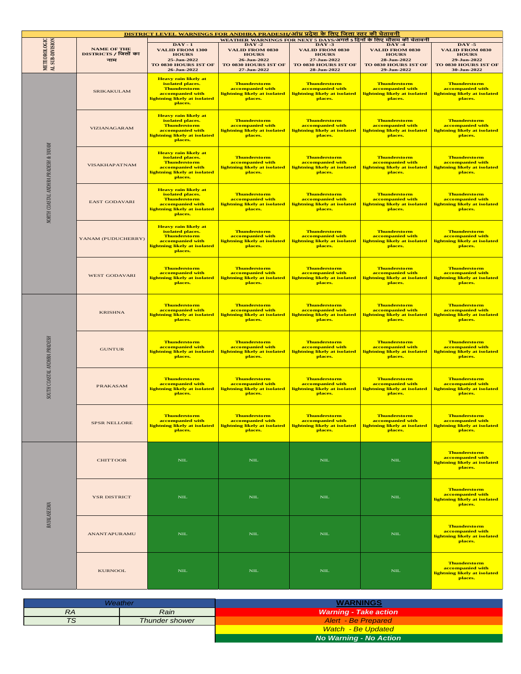|                                      | <u>DISTRICT LEVEL WARNINGS FOR ANDHRA PRADESH/आंध्र प्रदेश के लिए जिला स्तर की चेतावनी</u><br>WEATHER WARNINGS FOR NEXT 5 DAYS/अगले 5 दिनों के लिए मौसम की चेतावनी |                                                                                                                                       |                                                                                                                                                                                                       |                                                                                                                    |                                                                                                                  |                                                                                                                    |  |  |  |  |  |
|--------------------------------------|--------------------------------------------------------------------------------------------------------------------------------------------------------------------|---------------------------------------------------------------------------------------------------------------------------------------|-------------------------------------------------------------------------------------------------------------------------------------------------------------------------------------------------------|--------------------------------------------------------------------------------------------------------------------|------------------------------------------------------------------------------------------------------------------|--------------------------------------------------------------------------------------------------------------------|--|--|--|--|--|
| METEOROLOGIC<br>AL SUB-DIVISION      | <b>NAME OF THE</b><br>DISTRICTS / जिलों का<br>नाम                                                                                                                  | $\mathbf{DAY} - 1$<br><b>VALID FROM 1300</b><br><b>HOURS</b><br>25-Jun-2022<br>TO 0830 HOURS IST OF<br>26-Jun-2022                    | $\mathbf{DAY}-2$<br><b>VALID FROM 0830</b><br><b>HOURS</b><br>26-Jun-2022<br>TO 0830 HOURS IST OF<br>27-Jun-2022                                                                                      | $\mathbf{DAY} - 3$<br><b>VALID FROM 0830</b><br><b>HOURS</b><br>27-Jun-2022<br>TO 0830 HOURS IST OF<br>28-Jun-2022 | $\mathbf{DAY}-4$<br><b>VALID FROM 0830</b><br><b>HOURS</b><br>28-Jun-2022<br>TO 0830 HOURS IST OF<br>29-Jun-2022 | $\mathbf{DAY} - 5$<br><b>VALID FROM 0830</b><br><b>HOURS</b><br>29-Jun-2022<br>TO 0830 HOURS IST OF<br>30-Jun-2022 |  |  |  |  |  |
|                                      | <b>SRIKAKULAM</b>                                                                                                                                                  | <b>Heavy rain likely at</b><br>isolated places.<br>Thunderstorm<br>accompanied with<br>lightning likely at isolated<br>places.        | <b>Thunderstorm</b><br>accompanied with<br>lightning likely at isolated<br>places.                                                                                                                    | <b>Thunderstorm</b><br>accompanied with<br>lightning likely at isolated<br>places.                                 | <b>Thunderstorm</b><br>accompanied with<br>lightning likely at isolated<br>places.                               | <b>Thunderstorm</b><br>accompanied with<br>lightning likely at isolated<br>places.                                 |  |  |  |  |  |
|                                      | VIZIANAGARAM                                                                                                                                                       | <b>Heavy rain likely at</b><br>isolated places.<br>Thunderstorm<br>accompanied with<br>lightning likely at isolated<br>places.        | <b>Thunderstorm</b><br>accompanied with<br>lightning likely at isolated<br>places.                                                                                                                    | <b>Thunderstorm</b><br>accompanied with<br>lightning likely at isolated<br>places.                                 | <b>Thunderstorm</b><br>accompanied with<br>lightning likely at isolated<br>places.                               | <b>Thunderstorm</b><br>accompanied with<br>lightning likely at isolated<br>places.                                 |  |  |  |  |  |
|                                      | <b>VISAKHAPATNAM</b>                                                                                                                                               | <b>Heavy rain likely at</b><br>isolated places.<br><b>Thunderstorm</b><br>accompanied with<br>lightning likely at isolated<br>places. | <b>Thunderstorm</b><br>accompanied with<br>lightning likely at isolated<br>places.                                                                                                                    | <b>Thunderstorm</b><br>accompanied with<br>lightning likely at isolated<br>places.                                 | <b>Thunderstorm</b><br>accompanied with<br>lightning likely at isolated<br>places.                               | Thunderstorm<br>accompanied with<br>lightning likely at isolated<br>places.                                        |  |  |  |  |  |
| NORTH COASTAL ANDHRA PRADESH & YANAM | <b>EAST GODAVARI</b>                                                                                                                                               | <b>Heavy rain likely at</b><br>isolated places.<br>Thunderstorm<br>accompanied with<br>lightning likely at isolated<br>places.        | <b>Thunderstorm</b><br>accompanied with<br>lightning likely at isolated<br>places.                                                                                                                    | <b>Thunderstorm</b><br>accompanied with<br>lightning likely at isolated<br>places.                                 | <b>Thunderstorm</b><br>accompanied with<br>lightning likely at isolated<br>places.                               | <b>Thunderstorm</b><br>accompanied with<br>lightning likely at isolated<br>places.                                 |  |  |  |  |  |
|                                      | YANAM (PUDUCHERRY)                                                                                                                                                 | <b>Heavy rain likely at</b><br>isolated places.<br>Thunderstorm<br>accompanied with<br>lightning likely at isolated<br>places.        | <b>Thunderstorm</b><br>accompanied with<br>lightning likely at isolated<br>places.                                                                                                                    | <b>Thunderstorm</b><br>accompanied with<br>lightning likely at isolated<br>places.                                 | <b>Thunderstorm</b><br>accompanied with<br>lightning likely at isolated<br>places.                               | <b>Thunderstorm</b><br>accompanied with<br>lightning likely at isolated<br>places.                                 |  |  |  |  |  |
|                                      | <b>Thunderstorm</b><br>accompanied with<br><b>WEST GODAVARI</b><br>lightning likely at isolated<br>places.                                                         |                                                                                                                                       | <b>Thunderstorm</b><br><b>Thunderstorm</b><br>accompanied with<br>accompanied with<br>lightning likely at isolated<br>lightning likely at isolated lightning likely at isolated<br>places.<br>places. |                                                                                                                    | <b>Thunderstorm</b><br>accompanied with<br>places.                                                               | <b>Thunderstorm</b><br>accompanied with<br>lightning likely at isolated<br>places.                                 |  |  |  |  |  |
|                                      | <b>Thunderstorm</b><br>accompanied with<br><b>KRISHNA</b><br>lightning likely at isolated<br>places.                                                               |                                                                                                                                       | <b>Thunderstorm</b><br>accompanied with<br>lightning likely at isolated<br>places.                                                                                                                    | <b>Thunderstorm</b><br>accompanied with<br>lightning likely at isolated<br>places.                                 | <b>Thunderstorm</b><br>accompanied with<br>lightning likely at isolated<br>places.                               | Thunderstorm<br>accompanied with<br>lightning likely at isolated<br>places.                                        |  |  |  |  |  |
| SOUTH COASTAL ANDHRA PRADESH         | <b>GUNTUR</b>                                                                                                                                                      | <b>Thunderstorm</b><br>accompanied with<br>lightning likely at isolated<br>places.                                                    | <b>Thunderstorm</b><br>accompanied with<br>lightning likely at isolated<br>places.                                                                                                                    | <b>Thunderstorm</b><br>accompanied with<br>lightning likely at isolated<br>places.                                 | <b>Thunderstorm</b><br>accompanied with<br>lightning likely at isolated<br>places.                               | <b>Thunderstorm</b><br>accompanied with<br>lightning likely at isolated<br>places.                                 |  |  |  |  |  |
|                                      | <b>PRAKASAM</b>                                                                                                                                                    | Thunderstorm<br>accompanied with<br>lightning likely at isolated<br>places.                                                           | <b>Thunderstorm</b><br>accompanied with<br>lightning likely at isolated<br>places.                                                                                                                    | <b>Thunderstorm</b><br>accompanied with<br>lightning likely at isolated<br>places.                                 | <b>Thunderstorm</b><br>accompanied with<br>lightning likely at isolated<br>places.                               | <b>Thunderstorm</b><br>accompanied with<br>lightning likely at isolated<br>places.                                 |  |  |  |  |  |
|                                      | <b>SPSR NELLORE</b>                                                                                                                                                | <b>Thunderstorm</b><br>accompanied with<br>lightning likely at isolated<br>places.                                                    | <b>Thunderstorm</b><br>accompanied with<br>lightning likely at isolated<br>places.                                                                                                                    | <b>Thunderstorm</b><br>accompanied with<br>lightning likely at isolated<br>places.                                 | <b>Thunderstorm</b><br>accompanied with<br>lightning likely at isolated<br>places.                               | <b>Thunderstorm</b><br>accompanied with<br>lightning likely at isolated<br>places.                                 |  |  |  |  |  |
|                                      | <b>CHITTOOR</b>                                                                                                                                                    | $_{\rm NIL}$                                                                                                                          | $_{\rm NIL}$                                                                                                                                                                                          | $_{\rm NIL}$                                                                                                       | $_{\rm NIL}$                                                                                                     | <b>Thunderstorm</b><br>accompanied with<br>lightning likely at isolated<br>places.                                 |  |  |  |  |  |
| RAYALASEEMA                          | <b>YSR DISTRICT</b>                                                                                                                                                | <b>NIL</b>                                                                                                                            | $_{\rm NIL}$                                                                                                                                                                                          | NIL                                                                                                                | NIL                                                                                                              | <b>Thunderstorm</b><br>accompanied with<br>lightning likely at isolated<br>places.                                 |  |  |  |  |  |
|                                      | <b>ANANTAPURAMU</b>                                                                                                                                                | <b>NIL</b>                                                                                                                            | $_{\rm NIL}$                                                                                                                                                                                          | NIL                                                                                                                | $_{\rm NIL}$                                                                                                     | <b>Thunderstorm</b><br>accompanied with<br>lightning likely at isolated<br>places.                                 |  |  |  |  |  |
|                                      | <b>KURNOOL</b>                                                                                                                                                     | <b>NIL</b>                                                                                                                            | $\mbox{NIL}$                                                                                                                                                                                          | NIL                                                                                                                | $_{\rm NIL}$                                                                                                     | <b>Thunderstorm</b><br>accompanied with<br>lightning likely at isolated<br>places.                                 |  |  |  |  |  |

|           | Weather               | <b>WARNINGS</b>               |  |  |  |  |
|-----------|-----------------------|-------------------------------|--|--|--|--|
| <b>RA</b> | Rain                  | <b>Warning - Take action</b>  |  |  |  |  |
| <b>TS</b> | <b>Thunder shower</b> | <b>Alert - Be Prepared</b>    |  |  |  |  |
|           |                       | Watch - Be Updated            |  |  |  |  |
|           |                       | <b>No Warning - No Action</b> |  |  |  |  |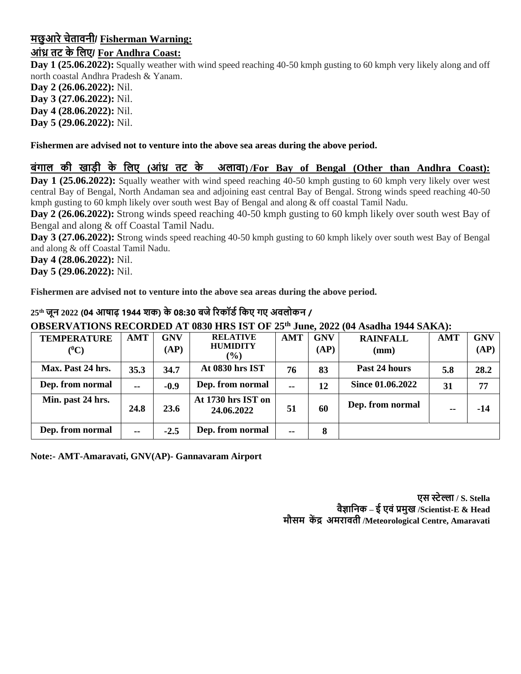## **मछु आरेचेतावनी/ Fisherman Warning: आांध्र तट के वलए/ For Andhra Coast:**

**Day 1 (25.06.2022):** Squally weather with wind speed reaching 40-50 kmph gusting to 60 kmph very likely along and off north coastal Andhra Pradesh & Yanam.

**Day 2 (26.06.2022):** Nil. **Day 3 (27.06.2022):** Nil. **Day 4 (28.06.2022):** Nil. **Day 5 (29.06.2022):** Nil.

#### **Fishermen are advised not to venture into the above sea areas during the above period.**

# **बांगाल की खाडी के वलए (आांध्र तट के अलावा)/For Bay of Bengal (Other than Andhra Coast):**

**Day 1 (25.06.2022):** Squally weather with wind speed reaching 40-50 kmph gusting to 60 kmph very likely over west central Bay of Bengal, North Andaman sea and adjoining east central Bay of Bengal. Strong winds speed reaching 40-50 kmph gusting to 60 kmph likely over south west Bay of Bengal and along & off coastal Tamil Nadu.

**Day 2 (26.06.2022):** Strong winds speed reaching 40-50 kmph gusting to 60 kmph likely over south west Bay of Bengal and along & off Coastal Tamil Nadu.

**Day 3 (27.06.2022):** Strong winds speed reaching 40-50 kmph gusting to 60 kmph likely over south west Bay of Bengal and along & off Coastal Tamil Nadu.

**Day 4 (28.06.2022):** Nil.

**Day 5 (29.06.2022):** Nil.

**Fishermen are advised not to venture into the above sea areas during the above period.**

| <b>TEMPERATURE</b><br>$(^0C)$ | <b>AMT</b>    | <b>GNV</b><br>(AP) | <b>RELATIVE</b><br><b>HUMIDITY</b><br>$(\%)$ | <b>AMT</b> | <b>GNV</b><br>(AP) | <b>RAINFALL</b><br>(mm) | <b>AMT</b> | <b>GNV</b><br>(AP) |
|-------------------------------|---------------|--------------------|----------------------------------------------|------------|--------------------|-------------------------|------------|--------------------|
| Max. Past 24 hrs.             | 35.3          | 34.7               | At 0830 hrs IST                              | 76         | 83                 | Past 24 hours           | 5.8        | 28.2               |
| Dep. from normal              | $\sim$ $\sim$ | $-0.9$             | Dep. from normal                             | $\sim$     | 12                 | Since 01.06.2022        | 31         | 77                 |
| Min. past 24 hrs.             | 24.8          | 23.6               | At 1730 hrs IST on<br>24.06.2022             | 51         | 60                 | Dep. from normal        | --         | $-14$              |
| Dep. from normal              | $\sim$        | $-2.5$             | Dep. from normal                             | $\sim$     | 8                  |                         |            |                    |

#### **25 th जून 2022 (04 आषाढ़ 1944 शक) के 08:30 बजे ररकॉर्ा वकए गए अवल कन /**

#### **OBSERVATIONS RECORDED AT 0830 HRS IST OF 25 th June, 2022 (04 Asadha 1944 SAKA):**

**Note:- AMT-Amaravati, GNV(AP)- Gannavaram Airport**

**एस स्टेल्ला / S. Stella वैज्ञावनक – ई एवांप्रमुख /Scientist-E & Head मौसम कें द्र अमरावती /Meteorological Centre, Amaravati**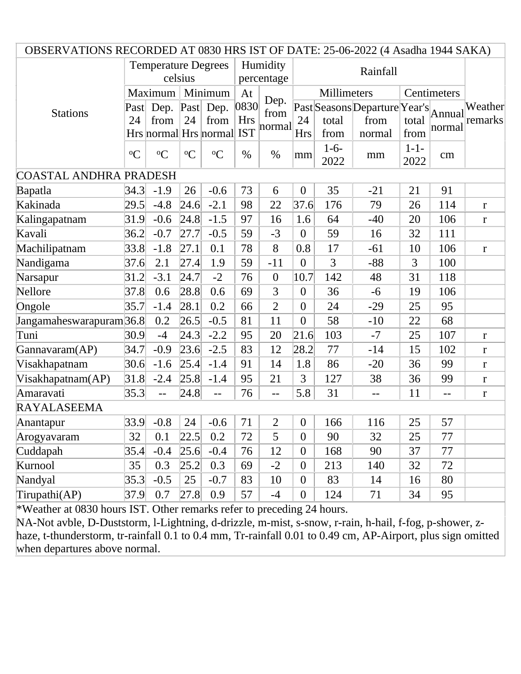| OBSERVATIONS RECORDED AT 0830 HRS IST OF DATE: 25-06-2022 (4 Asadha 1944 SAKA) |                            |                       |                  |               |            |                |                  |                |                                   |                   |             |             |
|--------------------------------------------------------------------------------|----------------------------|-----------------------|------------------|---------------|------------|----------------|------------------|----------------|-----------------------------------|-------------------|-------------|-------------|
|                                                                                | <b>Temperature Degrees</b> |                       |                  |               | Humidity   | Rainfall       |                  |                |                                   |                   |             |             |
|                                                                                | celsius                    |                       |                  |               | percentage |                |                  |                |                                   |                   |             |             |
|                                                                                |                            | Maximum               |                  | Minimum       | At         | Dep.           |                  | Millimeters    |                                   |                   | Centimeters |             |
| <b>Stations</b>                                                                | Past                       | Dep.                  | Past             | Dep.          | 0830       | from           |                  |                | PastSeasonsDepartureYear's Annual |                   |             | Weather     |
|                                                                                | 24                         | from                  | 24               | from          | <b>Hrs</b> | normal         | 24               | total          | from                              | total             | normal      | remarks     |
|                                                                                |                            | Hrs normal Hrs normal |                  |               | <b>IST</b> |                | <b>Hrs</b>       | from           | normal                            | from              |             |             |
|                                                                                | ${}^{\circ}C$              | $\mathrm{^{o}C}$      | $\mathrm{^{0}C}$ | ${}^{\circ}C$ | $\%$       | $\%$           | mm               | $1-6-$<br>2022 | mm                                | $1 - 1 -$<br>2022 | cm          |             |
| <b>COASTAL ANDHRA PRADESH</b>                                                  |                            |                       |                  |               |            |                |                  |                |                                   |                   |             |             |
| Bapatla                                                                        | 34.3                       | $-1.9$                | 26               | $-0.6$        | 73         | 6              | $\overline{0}$   | 35             | $-21$                             | 21                | 91          |             |
| Kakinada                                                                       | 29.5                       | $-4.8$                | 24.6             | $-2.1$        | 98         | 22             | 37.6             | 176            | 79                                | 26                | 114         | $\mathbf r$ |
| Kalingapatnam                                                                  | 31.9                       | $-0.6$                | 24.8             | $-1.5$        | 97         | 16             | 1.6              | 64             | $-40$                             | 20                | 106         | $\mathbf r$ |
| Kavali                                                                         | 36.2                       | $-0.7$                | 27.7             | $-0.5$        | 59         | $-3$           | $\overline{0}$   | 59             | 16                                | 32                | 111         |             |
| Machilipatnam                                                                  | 33.8                       | $-1.8$                | 27.1             | 0.1           | 78         | 8              | 0.8              | 17             | $-61$                             | 10                | 106         | $\mathbf r$ |
| Nandigama                                                                      | 37.6                       | 2.1                   | 27.4             | 1.9           | 59         | $-11$          | $\theta$         | 3              | $-88$                             | 3                 | 100         |             |
| Narsapur                                                                       | 31.2                       | $-3.1$                | 24.7             | $-2$          | 76         | $\overline{0}$ | 10.7             | 142            | 48                                | 31                | 118         |             |
| Nellore                                                                        | 37.8                       | 0.6                   | 28.8             | 0.6           | 69         | 3              | $\overline{0}$   | 36             | $-6$                              | 19                | 106         |             |
| Ongole                                                                         | 35.7                       | $-1.4$                | 28.1             | 0.2           | 66         | $\overline{2}$ | $\overline{0}$   | 24             | $-29$                             | 25                | 95          |             |
| Jangamaheswarapuram <sub>36.8</sub>                                            |                            | 0.2                   | 26.5             | $-0.5$        | 81         | 11             | $\overline{0}$   | 58             | $-10$                             | 22                | 68          |             |
| Tuni                                                                           | 30.9                       | $-4$                  | 24.3             | $-2.2$        | 95         | 20             | 21.6             | 103            | $-7$                              | 25                | 107         | $\mathbf r$ |
| Gannavaram(AP)                                                                 | 34.7                       | $-0.9$                | 23.6             | $-2.5$        | 83         | 12             | 28.2             | 77             | $-14$                             | 15                | 102         | $\mathbf r$ |
| Visakhapatnam                                                                  | 30.6                       | $-1.6$                | 25.4             | $-1.4$        | 91         | 14             | 1.8              | 86             | $-20$                             | 36                | 99          | $\mathbf r$ |
| Visakhapatnam(AP)                                                              | 31.8                       | $-2.4$                | 25.8             | $-1.4$        | 95         | 21             | 3                | 127            | 38                                | 36                | 99          | $\mathbf r$ |
| Amaravati                                                                      | 35.3                       | $\overline{a}$        | 24.8             | $-$           | 76         | $-$            | 5.8              | 31             | $-$                               | 11                | $- -$       | $\bf r$     |
| <b>RAYALASEEMA</b>                                                             |                            |                       |                  |               |            |                |                  |                |                                   |                   |             |             |
| Anantapur                                                                      | 33.9                       | $-0.8$                | 24               | $-0.6$        | 71         | $\overline{2}$ | $\boldsymbol{0}$ | 166            | 116                               | 25                | 57          |             |
| Arogyavaram                                                                    | 32                         | 0.1                   | 22.5             | 0.2           | 72         | 5              | $\overline{0}$   | 90             | 32                                | 25                | 77          |             |
| Cuddapah                                                                       | 35.4                       | $-0.4$                | 25.6             | $-0.4$        | 76         | 12             | $\theta$         | 168            | 90                                | 37                | 77          |             |
| Kurnool                                                                        | 35                         | 0.3                   | 25.2             | 0.3           | 69         | $-2$           | $\overline{0}$   | 213            | 140                               | 32                | 72          |             |
| Nandyal                                                                        | 35.3                       | $-0.5$                | 25               | $-0.7$        | 83         | 10             | $\mathbf{0}$     | 83             | 14                                | 16                | 80          |             |
| Tirupathi(AP)                                                                  | 37.9                       | 0.7                   | 27.8             | 0.9           | 57         | $-4$           | $\boldsymbol{0}$ | 124            | 71                                | 34                | 95          |             |

\*Weather at 0830 hours IST. Other remarks refer to preceding 24 hours.

NA-Not avble, D-Duststorm, l-Lightning, d-drizzle, m-mist, s-snow, r-rain, h-hail, f-fog, p-shower, zhaze, t-thunderstorm, tr-rainfall 0.1 to 0.4 mm, Tr-rainfall 0.01 to 0.49 cm, AP-Airport, plus sign omitted when departures above normal.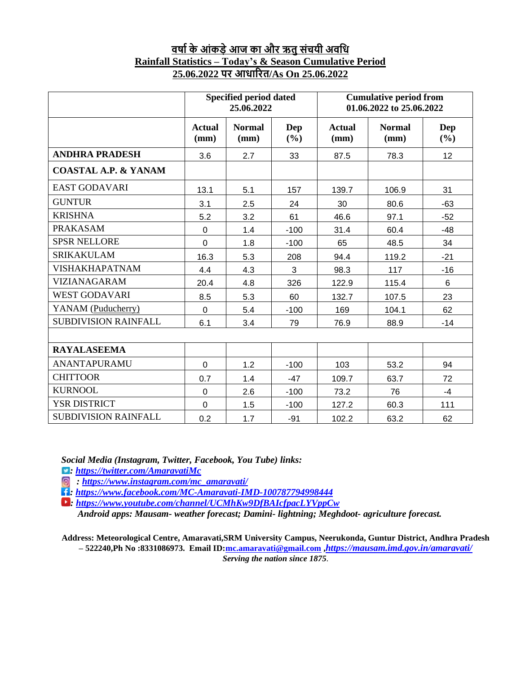### **वर्ााकेआांकडेआज का और ऋतुसांचयी अववध Rainfall Statistics – Today's & Season Cumulative Period 25.06.2022 पर आधाररत/As On 25.06.2022**

|                                 |                       | Specified period dated<br>25.06.2022 |            | <b>Cumulative period from</b><br>01.06.2022 to 25.06.2022 |                       |            |  |  |
|---------------------------------|-----------------------|--------------------------------------|------------|-----------------------------------------------------------|-----------------------|------------|--|--|
|                                 | <b>Actual</b><br>(mm) | <b>Normal</b><br>(mm)                | Dep<br>(%) | <b>Actual</b><br>(mm)                                     | <b>Normal</b><br>(mm) | Dep<br>(%) |  |  |
| <b>ANDHRA PRADESH</b>           | 3.6                   | 2.7                                  | 33         | 87.5                                                      | 78.3                  | 12         |  |  |
| <b>COASTAL A.P. &amp; YANAM</b> |                       |                                      |            |                                                           |                       |            |  |  |
| <b>EAST GODAVARI</b>            | 13.1                  | 5.1                                  | 157        | 139.7                                                     | 106.9                 | 31         |  |  |
| <b>GUNTUR</b>                   | 3.1                   | 2.5                                  | 24         | 30                                                        | 80.6                  | $-63$      |  |  |
| <b>KRISHNA</b>                  | 5.2                   | 3.2                                  | 61         | 46.6                                                      | 97.1                  | $-52$      |  |  |
| <b>PRAKASAM</b>                 | $\Omega$              | 1.4                                  | $-100$     | 31.4                                                      | 60.4                  | $-48$      |  |  |
| <b>SPSR NELLORE</b>             | $\Omega$              | 1.8                                  | $-100$     | 65                                                        | 48.5                  | 34         |  |  |
| <b>SRIKAKULAM</b>               | 16.3                  | 5.3                                  | 208        | 94.4                                                      | 119.2                 | $-21$      |  |  |
| <b>VISHAKHAPATNAM</b>           | 4.4                   | 4.3                                  | 3          | 98.3                                                      | 117                   | $-16$      |  |  |
| <b>VIZIANAGARAM</b>             | 20.4                  | 4.8                                  | 326        | 122.9                                                     | 115.4                 | 6          |  |  |
| <b>WEST GODAVARI</b>            | 8.5                   | 5.3                                  | 60         | 132.7                                                     | 107.5                 | 23         |  |  |
| YANAM (Puducherry)              | $\Omega$              | 5.4                                  | $-100$     | 169                                                       | 104.1                 | 62         |  |  |
| <b>SUBDIVISION RAINFALL</b>     | 6.1                   | 3.4                                  | 79         | 76.9                                                      | 88.9                  | $-14$      |  |  |
|                                 |                       |                                      |            |                                                           |                       |            |  |  |
| <b>RAYALASEEMA</b>              |                       |                                      |            |                                                           |                       |            |  |  |
| ANANTAPURAMU                    | 0                     | 1.2                                  | $-100$     | 103                                                       | 53.2                  | 94         |  |  |
| <b>CHITTOOR</b>                 | 0.7                   | 1.4                                  | $-47$      | 109.7                                                     | 63.7                  | 72         |  |  |
| <b>KURNOOL</b>                  | 0                     | 2.6                                  | $-100$     | 73.2                                                      | 76                    | $-4$       |  |  |
| <b>YSR DISTRICT</b>             | $\Omega$              | 1.5                                  | $-100$     | 127.2                                                     | 60.3                  | 111        |  |  |
| <b>SUBDIVISION RAINFALL</b>     | 0.2                   | 1.7                                  | $-91$      | 102.2                                                     | 63.2                  | 62         |  |  |

*Social Media (Instagram, Twitter, Facebook, You Tube) links:*

*: https://twitter.com/AmaravatiMc*

*: https://www.instagram.com/mc\_amaravati/*

*: https://www.facebook.com/MC-Amaravati-IMD-100787794998444*

*: https://www.youtube.com/channel/UCMhKw9DfBAIcfpacLYVppCw*

 *Android apps: Mausam- weather forecast; Damini- lightning; Meghdoot- agriculture forecast.*

**Address: Meteorological Centre, Amaravati,SRM University Campus, Neerukonda, Guntur District, Andhra Pradesh – 522240,Ph No :8331086973. Email ID:mc.amaravati@gmail.com ,***https://mausam.imd.gov.in/amaravati/ Serving the nation since 1875.*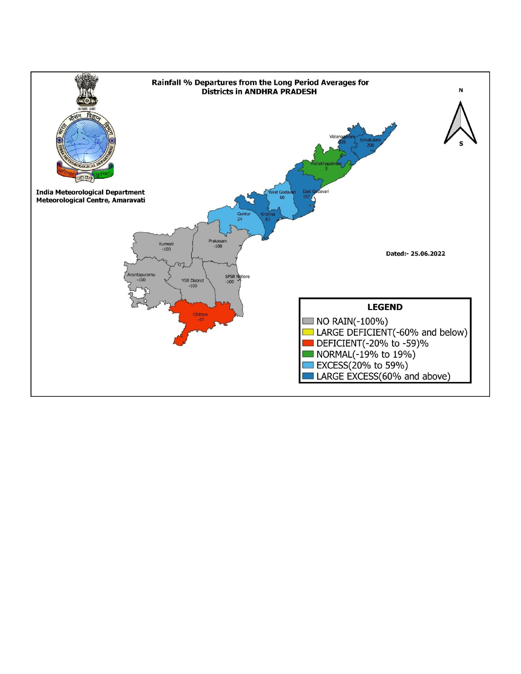